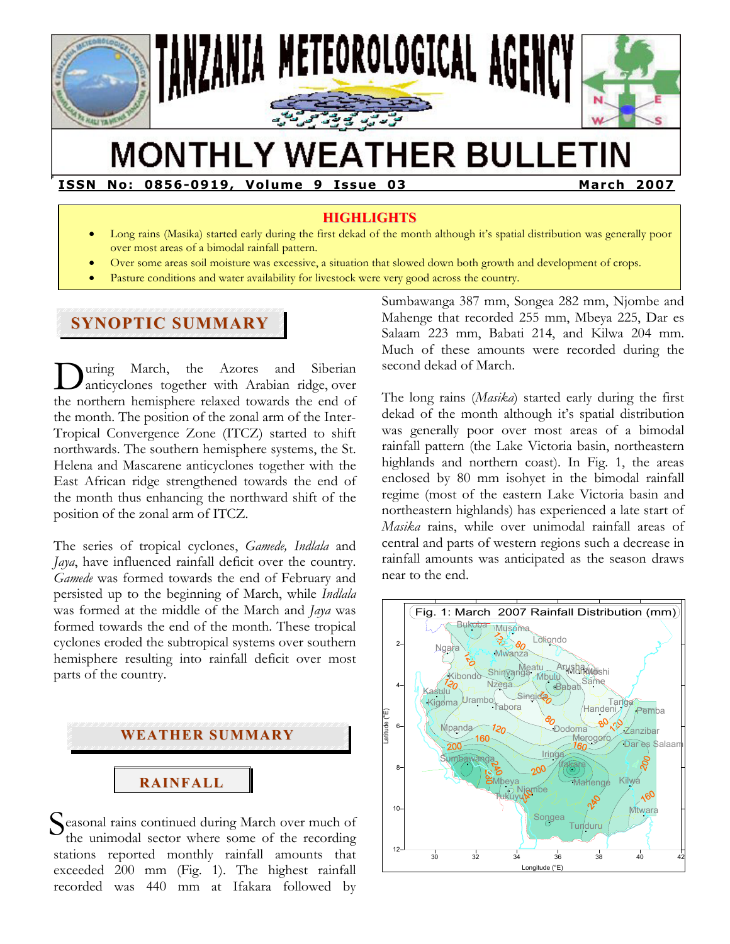

# **MONTHLY WEATHER BULLETIN**

**ISSN No: 0856-0919, Volume 9 Issue 03 March 2007** 

## **HIGHLIGHTS**

- Long rains (Masika) started early during the first dekad of the month although it's spatial distribution was generally poor over most areas of a bimodal rainfall pattern.
- Over some areas soil moisture was excessive, a situation that slowed down both growth and development of crops.
- Pasture conditions and water availability for livestock were very good across the country.

## **SYNOPTIC SUMMARY**

**F** 

uring March, the Azores and Siberian anticyclones together with Arabian ridge, over the northern hemisphere relaxed towards the end of the month. The position of the zonal arm of the Inter-Tropical Convergence Zone (ITCZ) started to shift northwards. The southern hemisphere systems, the St. Helena and Mascarene anticyclones together with the East African ridge strengthened towards the end of the month thus enhancing the northward shift of the position of the zonal arm of ITCZ.  $\sum_{ar}$ 

The series of tropical cyclones, *Gamede, Indlala* and *Jaya*, have influenced rainfall deficit over the country. *Gamede* was formed towards the end of February and persisted up to the beginning of March, while *Indlala* was formed at the middle of the March and *Jaya* was formed towards the end of the month. These tropical cyclones eroded the subtropical systems over southern hemisphere resulting into rainfall deficit over most parts of the country.



Seasonal rains continued during March over much of the unimodal sector where some of the recording the unimodal sector where some of the recording stations reported monthly rainfall amounts that exceeded 200 mm (Fig. 1). The highest rainfall recorded was 440 mm at Ifakara followed by

Sumbawanga 387 mm, Songea 282 mm, Njombe and Mahenge that recorded 255 mm, Mbeya 225, Dar es Salaam 223 mm, Babati 214, and Kilwa 204 mm. Much of these amounts were recorded during the second dekad of March.

The long rains (*Masika*) started early during the first dekad of the month although it's spatial distribution was generally poor over most areas of a bimodal rainfall pattern (the Lake Victoria basin, northeastern highlands and northern coast). In Fig. 1, the areas enclosed by 80 mm isohyet in the bimodal rainfall regime (most of the eastern Lake Victoria basin and northeastern highlands) has experienced a late start of *Masika* rains, while over unimodal rainfall areas of central and parts of western regions such a decrease in rainfall amounts was anticipated as the season draws near to the end.

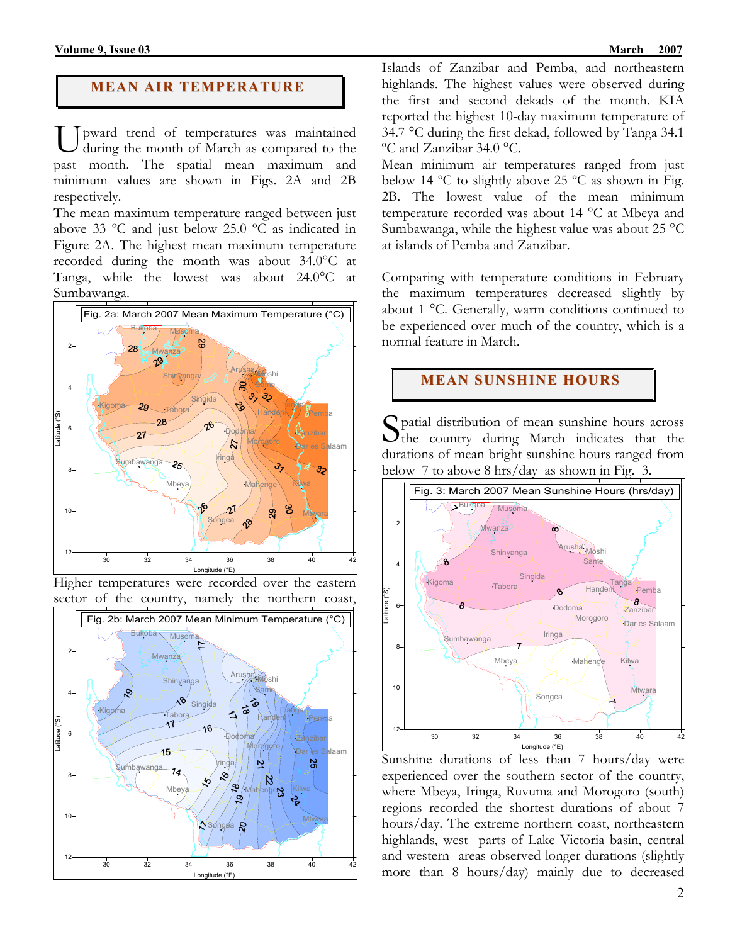#### **MEAN AIR TEMPERATURE**

U pward trend of temperatures was maintained<br>during the month of March as compared to the during the month of March as compared to the past month. The spatial mean maximum and minimum values are shown in Figs. 2A and 2B respectively.

The mean maximum temperature ranged between just above 33 ºC and just below 25.0 ºC as indicated in Figure 2A. The highest mean maximum temperature recorded during the month was about 34.0°C at Tanga, while the lowest was about 24.0°C at Sumbawanga.



Higher temperatures were recorded over the eastern sector of the country, namely the northern coast,



Islands of Zanzibar and Pemba, and northeastern highlands. The highest values were observed during the first and second dekads of the month. KIA reported the highest 10-day maximum temperature of 34.7 °C during the first dekad, followed by Tanga 34.1 ºC and Zanzibar 34.0 °C.

Mean minimum air temperatures ranged from just below 14 ºC to slightly above 25 ºC as shown in Fig. 2B. The lowest value of the mean minimum temperature recorded was about 14 °C at Mbeya and Sumbawanga, while the highest value was about 25 °C at islands of Pemba and Zanzibar.

Comparing with temperature conditions in February the maximum temperatures decreased slightly by about 1 °C. Generally, warm conditions continued to be experienced over much of the country, which is a normal feature in March.

## **MEAN SUNSHINE HOURS**

Spatial distribution of mean sunshine hours across<br>the country during March indicates that the the country during March indicates that the durations of mean bright sunshine hours ranged from below 7 to above 8 hrs/day as shown in Fig. 3.



Sunshine durations of less than 7 hours/day were experienced over the southern sector of the country, where Mbeya, Iringa, Ruvuma and Morogoro (south) regions recorded the shortest durations of about 7 hours/day. The extreme northern coast, northeastern highlands, west parts of Lake Victoria basin, central and western areas observed longer durations (slightly more than 8 hours/day) mainly due to decreased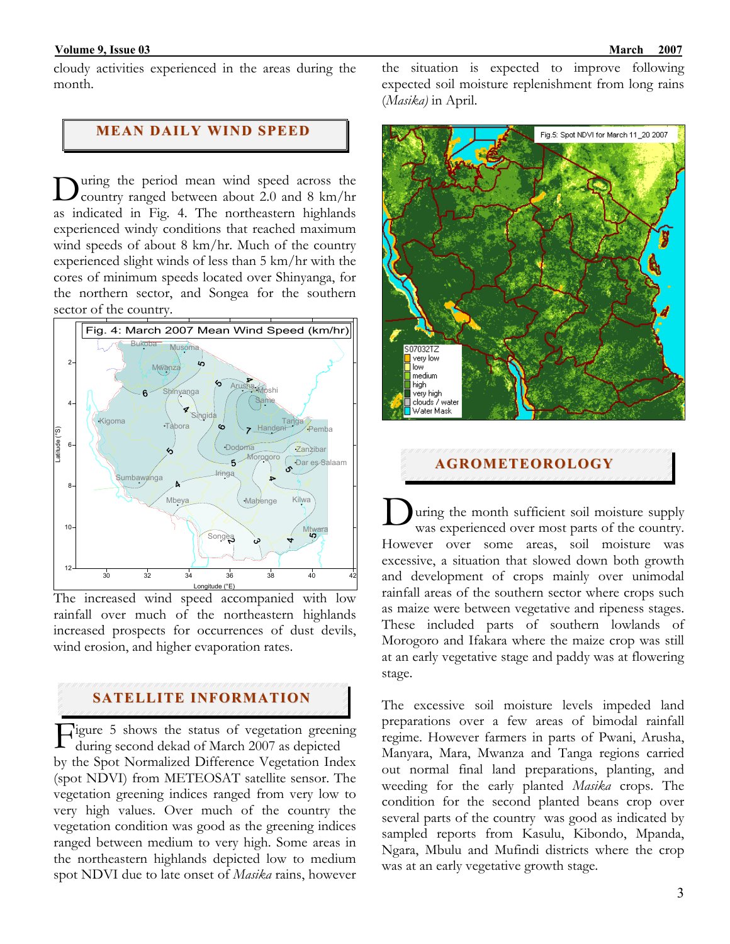cloudy activities experienced in the areas during the month.

#### **MEAN DAILY WIND SPEED**

uring the period mean wind speed across the country ranged between about 2.0 and 8 km/hr as indicated in Fig. 4. The northeastern highlands experienced windy conditions that reached maximum wind speeds of about 8 km/hr. Much of the country experienced slight winds of less than 5 km/hr with the cores of minimum speeds located over Shinyanga, for the northern sector, and Songea for the southern sector of the country. D



The increased wind speed accompanied with low rainfall over much of the northeastern highlands increased prospects for occurrences of dust devils, wind erosion, and higher evaporation rates.

## **SATELLITE INFORMATION**

igure 5 shows the status of vegetation greening during second dekad of March 2007 as depicted F by the Spot Normalized Difference Vegetation Index (spot NDVI) from METEOSAT satellite sensor. The vegetation greening indices ranged from very low to very high values. Over much of the country the vegetation condition was good as the greening indices ranged between medium to very high. Some areas in the northeastern highlands depicted low to medium spot NDVI due to late onset of *Masika* rains, however

the situation is expected to improve following expected soil moisture replenishment from long rains (*Masika)* in April.



#### **AGROMETEOROLOGY**

uring the month sufficient soil moisture supply was experienced over most parts of the country. However over some areas, soil moisture was excessive, a situation that slowed down both growth and development of crops mainly over unimodal rainfall areas of the southern sector where crops such as maize were between vegetative and ripeness stages. These included parts of southern lowlands of Morogoro and Ifakara where the maize crop was still at an early vegetative stage and paddy was at flowering stage. D

The excessive soil moisture levels impeded land preparations over a few areas of bimodal rainfall regime. However farmers in parts of Pwani, Arusha, Manyara, Mara, Mwanza and Tanga regions carried out normal final land preparations, planting, and weeding for the early planted *Masika* crops. The condition for the second planted beans crop over several parts of the country was good as indicated by sampled reports from Kasulu, Kibondo, Mpanda, Ngara, Mbulu and Mufindi districts where the crop was at an early vegetative growth stage.